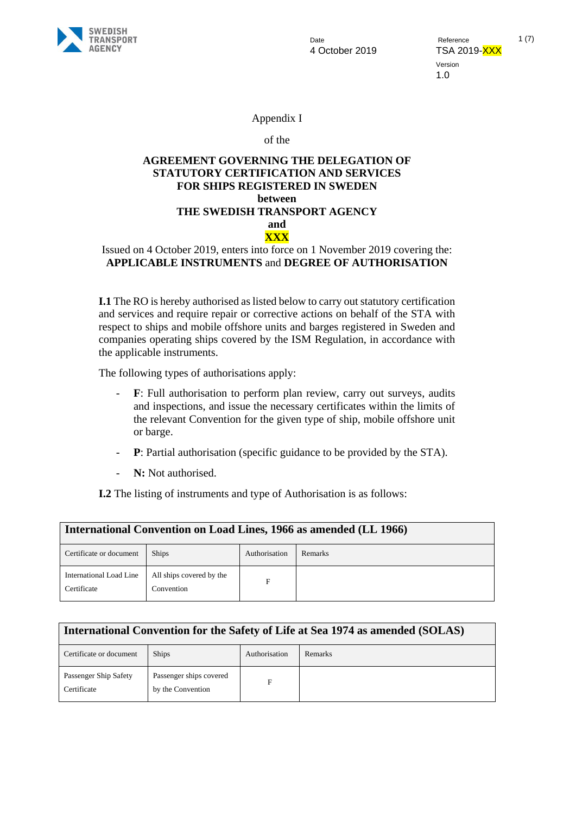

4 October 2019 TSA 2019-XXX

Date **Date** Reference 1 (7) Version 1.0

### Appendix I

#### of the

### **AGREEMENT GOVERNING THE DELEGATION OF STATUTORY CERTIFICATION AND SERVICES FOR SHIPS REGISTERED IN SWEDEN between THE SWEDISH TRANSPORT AGENCY and XXX**

### Issued on 4 October 2019, enters into force on 1 November 2019 covering the: **APPLICABLE INSTRUMENTS** and **DEGREE OF AUTHORISATION**

**I.1** The RO is hereby authorised as listed below to carry out statutory certification and services and require repair or corrective actions on behalf of the STA with respect to ships and mobile offshore units and barges registered in Sweden and companies operating ships covered by the ISM Regulation, in accordance with the applicable instruments.

The following types of authorisations apply:

- **F**: Full authorisation to perform plan review, carry out surveys, audits and inspections, and issue the necessary certificates within the limits of the relevant Convention for the given type of ship, mobile offshore unit or barge.
- **P**: Partial authorisation (specific guidance to be provided by the STA).
- **N:** Not authorised.

**I.2** The listing of instruments and type of Authorisation is as follows:

| International Convention on Load Lines, 1966 as amended (LL 1966) |                                        |               |         |
|-------------------------------------------------------------------|----------------------------------------|---------------|---------|
| Certificate or document                                           | <b>Ships</b>                           | Authorisation | Remarks |
| International Load Line<br>Certificate                            | All ships covered by the<br>Convention | Е             |         |

| International Convention for the Safety of Life at Sea 1974 as amended (SOLAS) |                                              |               |         |
|--------------------------------------------------------------------------------|----------------------------------------------|---------------|---------|
| Certificate or document                                                        | <b>Ships</b>                                 | Authorisation | Remarks |
| Passenger Ship Safety<br>Certificate                                           | Passenger ships covered<br>by the Convention | F             |         |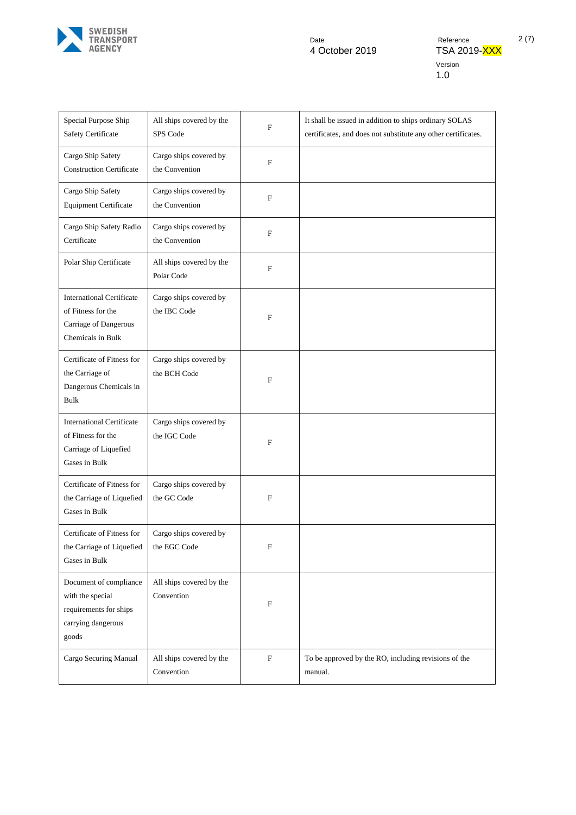

Date Pate Reference 2 (7)<br>4 October 2019 - TSA 2019-XXX Version 1.0

| Special Purpose Ship<br>Safety Certificate                                                           | All ships covered by the<br>SPS Code     | F            | It shall be issued in addition to ships ordinary SOLAS<br>certificates, and does not substitute any other certificates. |
|------------------------------------------------------------------------------------------------------|------------------------------------------|--------------|-------------------------------------------------------------------------------------------------------------------------|
| Cargo Ship Safety<br><b>Construction Certificate</b>                                                 | Cargo ships covered by<br>the Convention | ${\bf F}$    |                                                                                                                         |
| Cargo Ship Safety<br><b>Equipment Certificate</b>                                                    | Cargo ships covered by<br>the Convention | ${\bf F}$    |                                                                                                                         |
| Cargo Ship Safety Radio<br>Certificate                                                               | Cargo ships covered by<br>the Convention | ${\bf F}$    |                                                                                                                         |
| Polar Ship Certificate                                                                               | All ships covered by the<br>Polar Code   | ${\bf F}$    |                                                                                                                         |
| <b>International Certificate</b><br>of Fitness for the<br>Carriage of Dangerous<br>Chemicals in Bulk | Cargo ships covered by<br>the IBC Code   | F            |                                                                                                                         |
| Certificate of Fitness for<br>the Carriage of<br>Dangerous Chemicals in<br><b>Bulk</b>               | Cargo ships covered by<br>the BCH Code   | $\mathbf{F}$ |                                                                                                                         |
| <b>International Certificate</b><br>of Fitness for the<br>Carriage of Liquefied<br>Gases in Bulk     | Cargo ships covered by<br>the IGC Code   | $\mathbf F$  |                                                                                                                         |
| Certificate of Fitness for<br>the Carriage of Liquefied<br>Gases in Bulk                             | Cargo ships covered by<br>the GC Code    | F            |                                                                                                                         |
| Certificate of Fitness for<br>the Carriage of Liquefied<br>Gases in Bulk                             | Cargo ships covered by<br>the EGC Code   | F            |                                                                                                                         |
| Document of compliance<br>with the special<br>requirements for ships<br>carrying dangerous<br>goods  | All ships covered by the<br>Convention   | F            |                                                                                                                         |
| Cargo Securing Manual                                                                                | All ships covered by the<br>Convention   | ${\bf F}$    | To be approved by the RO, including revisions of the<br>manual.                                                         |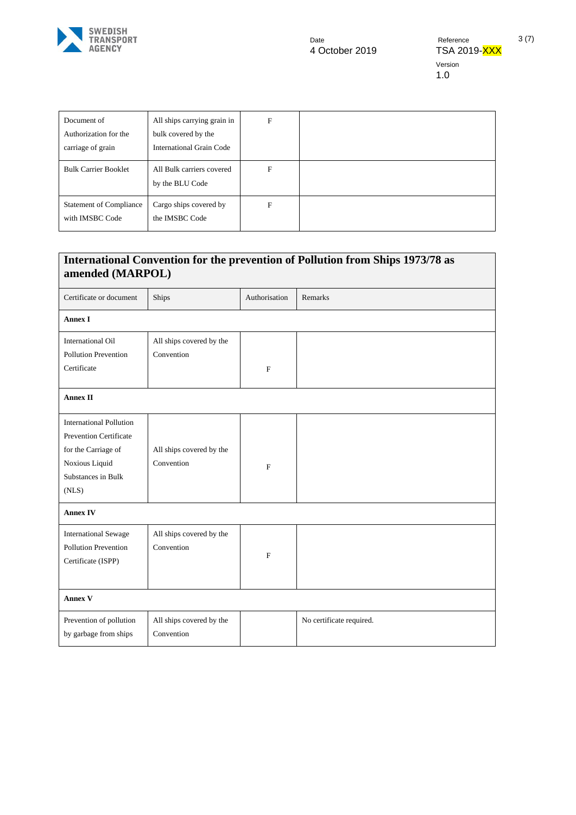

| Document of<br>Authorization for the<br>carriage of grain | All ships carrying grain in<br>bulk covered by the<br>International Grain Code | F |  |
|-----------------------------------------------------------|--------------------------------------------------------------------------------|---|--|
| <b>Bulk Carrier Booklet</b>                               | All Bulk carriers covered<br>by the BLU Code                                   | F |  |
| <b>Statement of Compliance</b><br>with IMSBC Code         | Cargo ships covered by<br>the IMSBC Code                                       | F |  |

# **International Convention for the prevention of Pollution from Ships 1973/78 as amended (MARPOL)**

| Certificate or document                                                                                                                 | Ships                                  | Authorisation | Remarks                  |  |
|-----------------------------------------------------------------------------------------------------------------------------------------|----------------------------------------|---------------|--------------------------|--|
| <b>Annex I</b>                                                                                                                          |                                        |               |                          |  |
| <b>International Oil</b><br><b>Pollution Prevention</b><br>Certificate                                                                  | All ships covered by the<br>Convention | $\mathbf F$   |                          |  |
| <b>Annex II</b>                                                                                                                         |                                        |               |                          |  |
| <b>International Pollution</b><br><b>Prevention Certificate</b><br>for the Carriage of<br>Noxious Liquid<br>Substances in Bulk<br>(NLS) | All ships covered by the<br>Convention | F             |                          |  |
| <b>Annex IV</b>                                                                                                                         |                                        |               |                          |  |
| <b>International Sewage</b><br>Pollution Prevention<br>Certificate (ISPP)                                                               | All ships covered by the<br>Convention | F             |                          |  |
| <b>Annex V</b>                                                                                                                          |                                        |               |                          |  |
| Prevention of pollution<br>by garbage from ships                                                                                        | All ships covered by the<br>Convention |               | No certificate required. |  |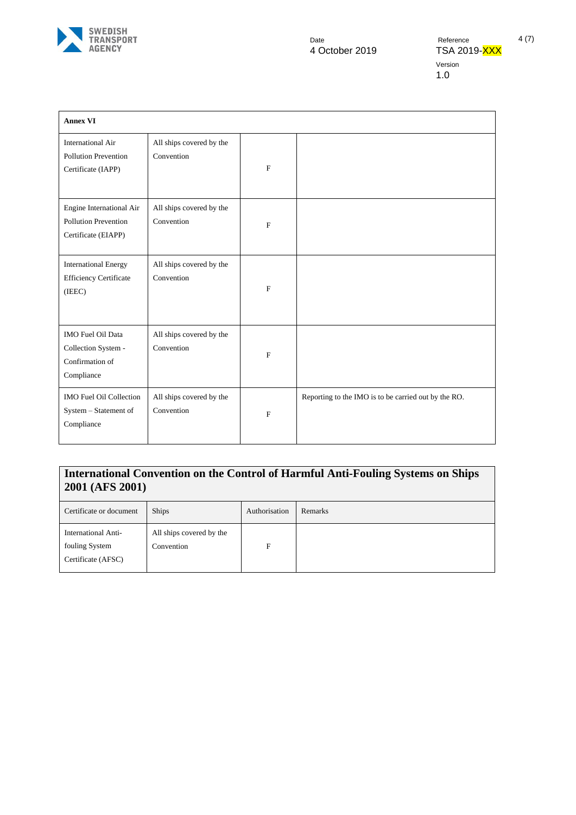

Version 1.0

| <b>Annex VI</b>                                                                |                                        |              |                                                      |
|--------------------------------------------------------------------------------|----------------------------------------|--------------|------------------------------------------------------|
| <b>International Air</b><br><b>Pollution Prevention</b><br>Certificate (IAPP)  | All ships covered by the<br>Convention | $\mathbf{F}$ |                                                      |
| Engine International Air<br><b>Pollution Prevention</b><br>Certificate (EIAPP) | All ships covered by the<br>Convention | $\mathbf{F}$ |                                                      |
| <b>International Energy</b><br><b>Efficiency Certificate</b><br>(IEEC)         | All ships covered by the<br>Convention | $\mathbf{F}$ |                                                      |
| IMO Fuel Oil Data<br>Collection System -<br>Confirmation of<br>Compliance      | All ships covered by the<br>Convention | $\mathbf F$  |                                                      |
| <b>IMO Fuel Oil Collection</b><br>System - Statement of<br>Compliance          | All ships covered by the<br>Convention | $\mathbf{F}$ | Reporting to the IMO is to be carried out by the RO. |

## **International Convention on the Control of Harmful Anti-Fouling Systems on Ships 2001 (AFS 2001)**

| Certificate or document                                     | <b>Ships</b>                           | Authorisation | Remarks |
|-------------------------------------------------------------|----------------------------------------|---------------|---------|
| International Anti-<br>fouling System<br>Certificate (AFSC) | All ships covered by the<br>Convention | F             |         |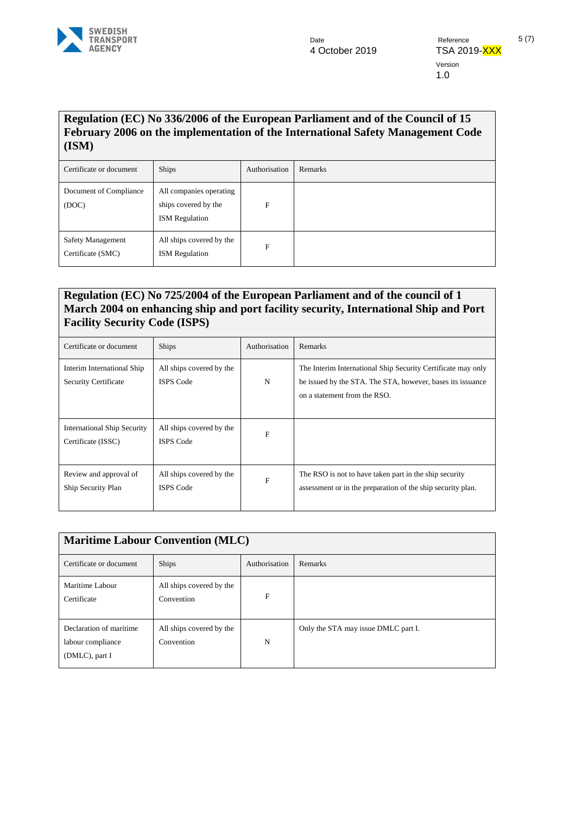

Version 1.0

## **Regulation (EC) No 336/2006 of the European Parliament and of the Council of 15 February 2006 on the implementation of the International Safety Management Code (ISM)**

| Certificate or document                | <b>Ships</b>                                                             | Authorisation | Remarks |
|----------------------------------------|--------------------------------------------------------------------------|---------------|---------|
| Document of Compliance<br>(DOC)        | All companies operating<br>ships covered by the<br><b>ISM</b> Regulation | F             |         |
| Safety Management<br>Certificate (SMC) | All ships covered by the<br><b>ISM</b> Regulation                        | F             |         |

## **Regulation (EC) No 725/2004 of the European Parliament and of the council of 1 March 2004 on enhancing ship and port facility security, International Ship and Port Facility Security Code (ISPS)**

| Certificate or document                                   | <b>Ships</b>                                 | Authorisation | Remarks                                                                                                                                                    |
|-----------------------------------------------------------|----------------------------------------------|---------------|------------------------------------------------------------------------------------------------------------------------------------------------------------|
| Interim International Ship<br><b>Security Certificate</b> | All ships covered by the<br><b>ISPS</b> Code | N             | The Interim International Ship Security Certificate may only<br>be issued by the STA. The STA, however, bases its issuance<br>on a statement from the RSO. |
| <b>International Ship Security</b><br>Certificate (ISSC)  | All ships covered by the<br><b>ISPS Code</b> | F             |                                                                                                                                                            |
| Review and approval of<br>Ship Security Plan              | All ships covered by the<br><b>ISPS Code</b> | $\mathbf{F}$  | The RSO is not to have taken part in the ship security<br>assessment or in the preparation of the ship security plan.                                      |

| <b>Maritime Labour Convention (MLC)</b>                        |                                        |               |                                     |
|----------------------------------------------------------------|----------------------------------------|---------------|-------------------------------------|
| Certificate or document                                        | <b>Ships</b>                           | Authorisation | Remarks                             |
| Maritime Labour<br>Certificate                                 | All ships covered by the<br>Convention | F             |                                     |
| Declaration of maritime<br>labour compliance<br>(DMLC), part I | All ships covered by the<br>Convention | N             | Only the STA may issue DMLC part I. |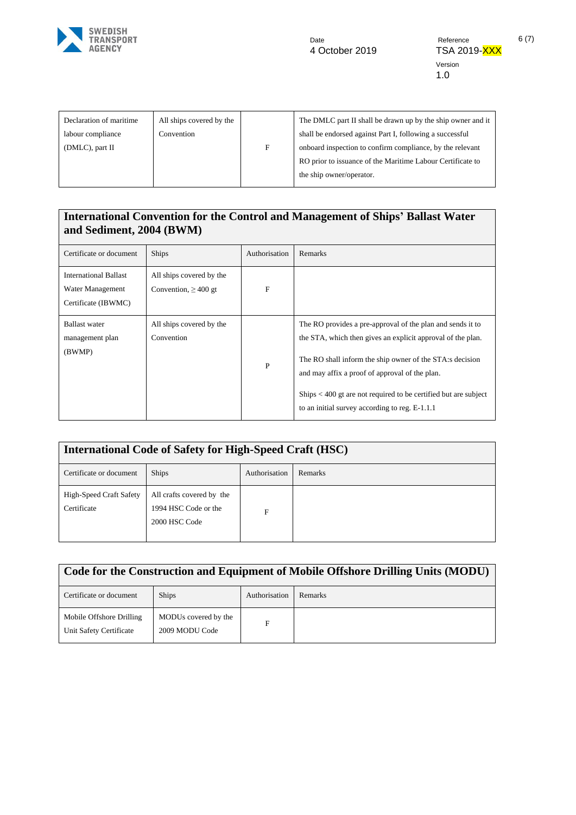

Version 1.0

| Declaration of maritime<br>labour compliance<br>(DMLC), part II | All ships covered by the<br>Convention | F | The DMLC part II shall be drawn up by the ship owner and it<br>shall be endorsed against Part I, following a successful<br>onboard inspection to confirm compliance, by the relevant<br>RO prior to issuance of the Maritime Labour Certificate to<br>the ship owner/operator. |
|-----------------------------------------------------------------|----------------------------------------|---|--------------------------------------------------------------------------------------------------------------------------------------------------------------------------------------------------------------------------------------------------------------------------------|
|                                                                 |                                        |   |                                                                                                                                                                                                                                                                                |

### **International Convention for the Control and Management of Ships' Ballast Water and Sediment, 2004 (BWM)**

| Certificate or document                                                 | <b>Ships</b>                                          | Authorisation | Remarks                                                                                                                                                                                                                                                                                                                                                               |
|-------------------------------------------------------------------------|-------------------------------------------------------|---------------|-----------------------------------------------------------------------------------------------------------------------------------------------------------------------------------------------------------------------------------------------------------------------------------------------------------------------------------------------------------------------|
| <b>International Ballast</b><br>Water Management<br>Certificate (IBWMC) | All ships covered by the<br>Convention, $\geq 400$ gt | F             |                                                                                                                                                                                                                                                                                                                                                                       |
| <b>Ballast</b> water<br>management plan<br>(BWMP)                       | All ships covered by the<br>Convention                | P             | The RO provides a pre-approval of the plan and sends it to<br>the STA, which then gives an explicit approval of the plan.<br>The RO shall inform the ship owner of the STA:s decision<br>and may affix a proof of approval of the plan.<br>$\text{Ships} < 400$ gt are not required to be certified but are subject<br>to an initial survey according to reg. E-1.1.1 |

| <b>International Code of Safety for High-Speed Craft (HSC)</b> |                                                                    |               |                |
|----------------------------------------------------------------|--------------------------------------------------------------------|---------------|----------------|
| Certificate or document                                        | <b>Ships</b>                                                       | Authorisation | <b>Remarks</b> |
| <b>High-Speed Craft Safety</b><br>Certificate                  | All crafts covered by the<br>1994 HSC Code or the<br>2000 HSC Code | F             |                |

| Code for the Construction and Equipment of Mobile Offshore Drilling Units (MODU) |                                        |               |         |
|----------------------------------------------------------------------------------|----------------------------------------|---------------|---------|
| Certificate or document                                                          | <b>Ships</b>                           | Authorisation | Remarks |
| Mobile Offshore Drilling<br>Unit Safety Certificate                              | MODUs covered by the<br>2009 MODU Code | F             |         |